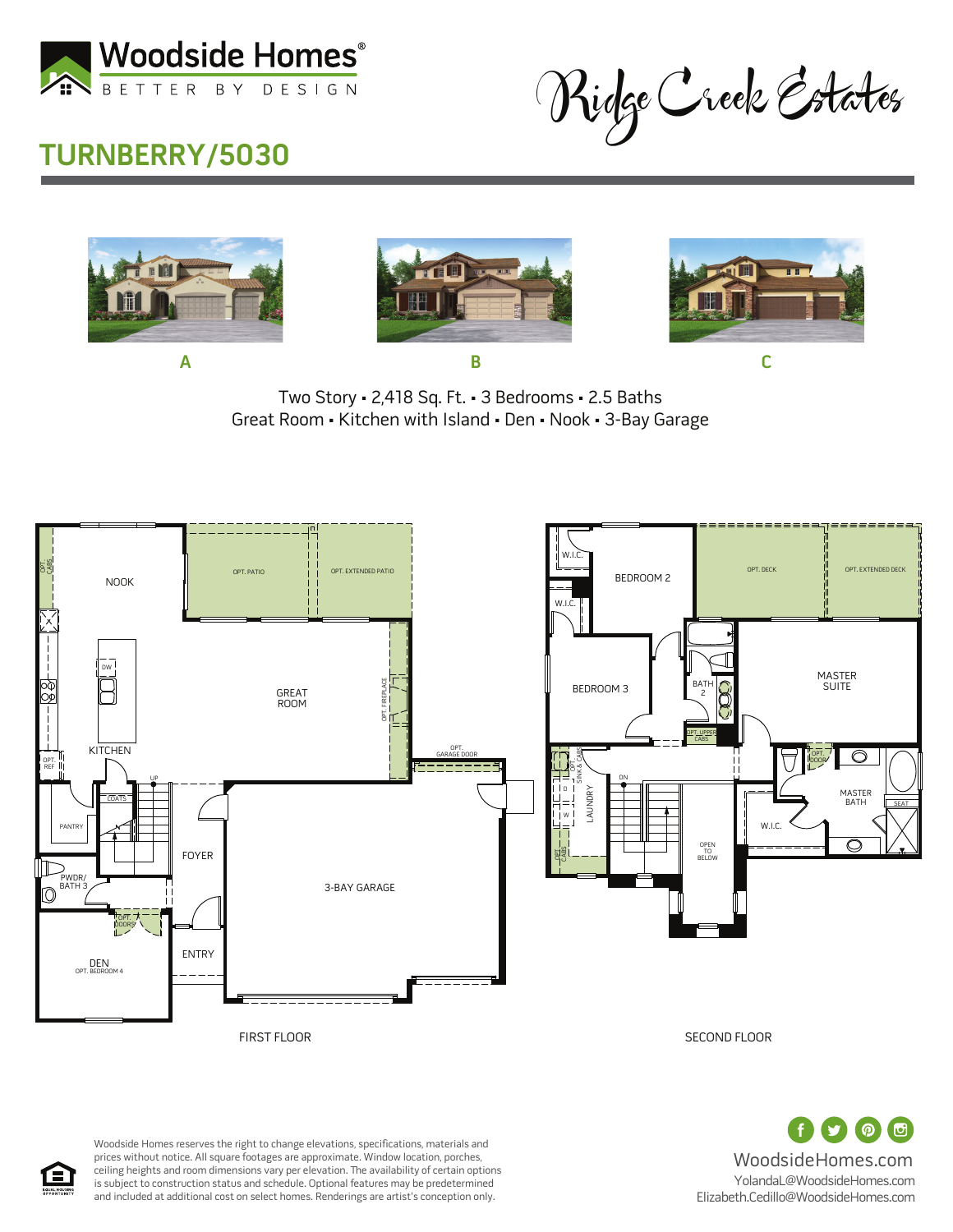

Ridge Creek Estates

## **TURNBERRY/5030**







WoodsideHomes.com

(の) (団)

YolandaL@WoodsideHomes.com Elizabeth.Cedillo@WoodsideHomes.com

Great Room • Kitchen with Island • Den • Nook • 3-Bay Garage Two Story • 2,418 Sq. Ft. • 3 Bedrooms • 2.5 Baths



Woodside Homes reserves the right to change elevations, specifications, materials and prices without notice. All square footages are approximate. Window location, porches, ceiling heights and room dimensions vary per elevation. The availability of certain options is subject to construction status and schedule. Optional features may be predetermined and included at additional cost on select homes. Renderings are artist's conception only.